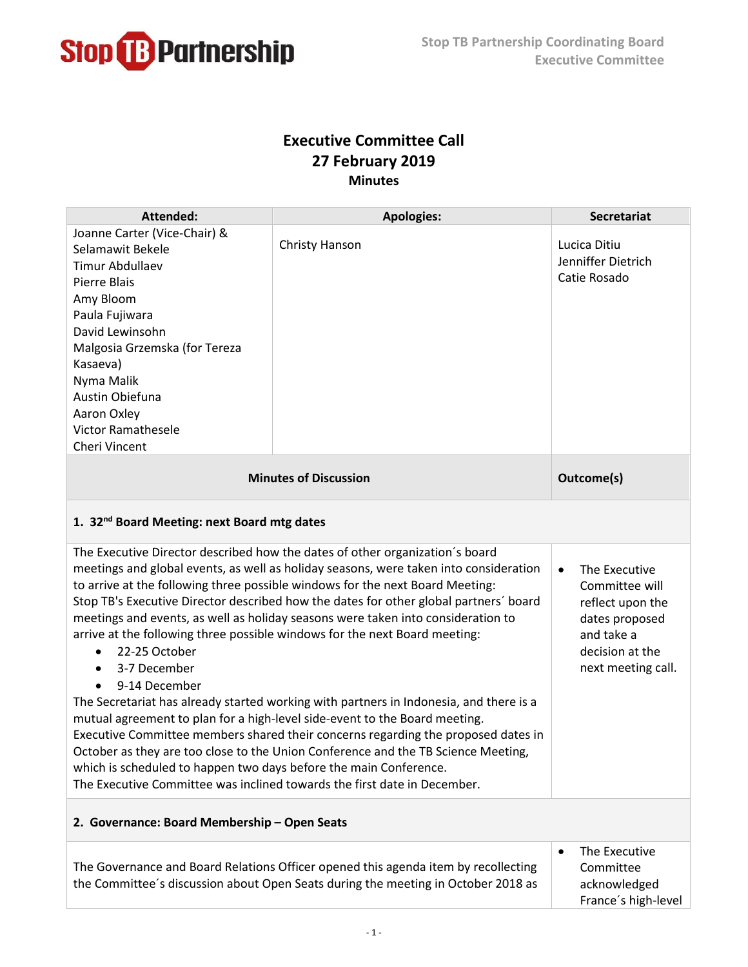

## **Executive Committee Call 27 February 2019 Minutes**

| <b>Attended:</b>                                                                                                                                                                                                                                                                                                                                                                                                                                                                                                                                                                                                                                                                                                                                                                                                                                                                                                                                                                                                                                                                                                                                                                                                                 | <b>Apologies:</b>                                                                                                                                                       | <b>Secretariat</b>                                                             |  |
|----------------------------------------------------------------------------------------------------------------------------------------------------------------------------------------------------------------------------------------------------------------------------------------------------------------------------------------------------------------------------------------------------------------------------------------------------------------------------------------------------------------------------------------------------------------------------------------------------------------------------------------------------------------------------------------------------------------------------------------------------------------------------------------------------------------------------------------------------------------------------------------------------------------------------------------------------------------------------------------------------------------------------------------------------------------------------------------------------------------------------------------------------------------------------------------------------------------------------------|-------------------------------------------------------------------------------------------------------------------------------------------------------------------------|--------------------------------------------------------------------------------|--|
| Joanne Carter (Vice-Chair) &<br>Selamawit Bekele<br><b>Timur Abdullaev</b><br><b>Pierre Blais</b><br>Amy Bloom<br>Paula Fujiwara<br>David Lewinsohn<br>Malgosia Grzemska (for Tereza<br>Kasaeva)<br>Nyma Malik<br>Austin Obiefuna<br>Aaron Oxley<br><b>Victor Ramathesele</b><br>Cheri Vincent                                                                                                                                                                                                                                                                                                                                                                                                                                                                                                                                                                                                                                                                                                                                                                                                                                                                                                                                   | <b>Christy Hanson</b>                                                                                                                                                   | Lucica Ditiu<br>Jenniffer Dietrich<br>Catie Rosado                             |  |
| <b>Minutes of Discussion</b>                                                                                                                                                                                                                                                                                                                                                                                                                                                                                                                                                                                                                                                                                                                                                                                                                                                                                                                                                                                                                                                                                                                                                                                                     |                                                                                                                                                                         | Outcome(s)                                                                     |  |
| 1. 32 <sup>nd</sup> Board Meeting: next Board mtg dates                                                                                                                                                                                                                                                                                                                                                                                                                                                                                                                                                                                                                                                                                                                                                                                                                                                                                                                                                                                                                                                                                                                                                                          |                                                                                                                                                                         |                                                                                |  |
| The Executive Director described how the dates of other organization's board<br>meetings and global events, as well as holiday seasons, were taken into consideration<br>The Executive<br>$\bullet$<br>to arrive at the following three possible windows for the next Board Meeting:<br>Committee will<br>Stop TB's Executive Director described how the dates for other global partners' board<br>reflect upon the<br>meetings and events, as well as holiday seasons were taken into consideration to<br>dates proposed<br>arrive at the following three possible windows for the next Board meeting:<br>and take a<br>22-25 October<br>decision at the<br>3-7 December<br>next meeting call.<br>$\bullet$<br>9-14 December<br>The Secretariat has already started working with partners in Indonesia, and there is a<br>mutual agreement to plan for a high-level side-event to the Board meeting.<br>Executive Committee members shared their concerns regarding the proposed dates in<br>October as they are too close to the Union Conference and the TB Science Meeting,<br>which is scheduled to happen two days before the main Conference.<br>The Executive Committee was inclined towards the first date in December. |                                                                                                                                                                         |                                                                                |  |
| 2. Governance: Board Membership - Open Seats                                                                                                                                                                                                                                                                                                                                                                                                                                                                                                                                                                                                                                                                                                                                                                                                                                                                                                                                                                                                                                                                                                                                                                                     |                                                                                                                                                                         |                                                                                |  |
|                                                                                                                                                                                                                                                                                                                                                                                                                                                                                                                                                                                                                                                                                                                                                                                                                                                                                                                                                                                                                                                                                                                                                                                                                                  | The Governance and Board Relations Officer opened this agenda item by recollecting<br>the Committee's discussion about Open Seats during the meeting in October 2018 as | The Executive<br>$\bullet$<br>Committee<br>acknowledged<br>France's high-level |  |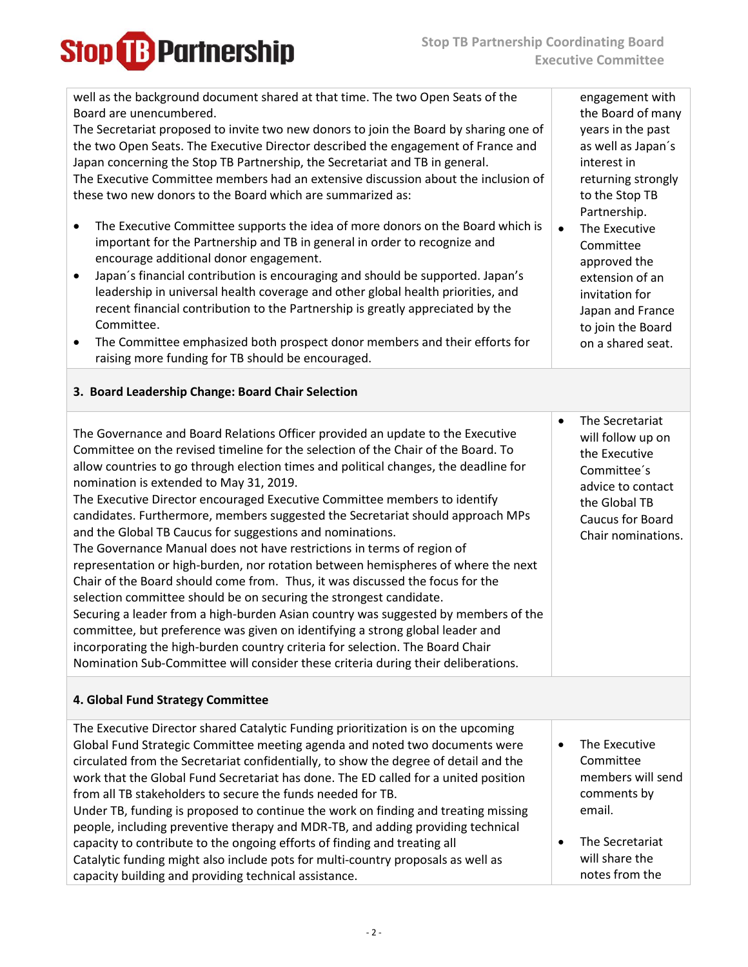| well as the background document shared at that time. The two Open Seats of the<br>Board are unencumbered.<br>The Secretariat proposed to invite two new donors to join the Board by sharing one of<br>the two Open Seats. The Executive Director described the engagement of France and<br>Japan concerning the Stop TB Partnership, the Secretariat and TB in general.<br>The Executive Committee members had an extensive discussion about the inclusion of<br>these two new donors to the Board which are summarized as:<br>The Executive Committee supports the idea of more donors on the Board which is<br>$\bullet$<br>important for the Partnership and TB in general in order to recognize and<br>encourage additional donor engagement.<br>Japan's financial contribution is encouraging and should be supported. Japan's<br>$\bullet$<br>leadership in universal health coverage and other global health priorities, and<br>recent financial contribution to the Partnership is greatly appreciated by the<br>Committee.<br>The Committee emphasized both prospect donor members and their efforts for<br>$\bullet$<br>raising more funding for TB should be encouraged.                   | engagement with<br>the Board of many<br>years in the past<br>as well as Japan's<br>interest in<br>returning strongly<br>to the Stop TB<br>Partnership.<br>The Executive<br>$\bullet$<br>Committee<br>approved the<br>extension of an<br>invitation for<br>Japan and France<br>to join the Board<br>on a shared seat. |
|-------------------------------------------------------------------------------------------------------------------------------------------------------------------------------------------------------------------------------------------------------------------------------------------------------------------------------------------------------------------------------------------------------------------------------------------------------------------------------------------------------------------------------------------------------------------------------------------------------------------------------------------------------------------------------------------------------------------------------------------------------------------------------------------------------------------------------------------------------------------------------------------------------------------------------------------------------------------------------------------------------------------------------------------------------------------------------------------------------------------------------------------------------------------------------------------------------|----------------------------------------------------------------------------------------------------------------------------------------------------------------------------------------------------------------------------------------------------------------------------------------------------------------------|
| 3. Board Leadership Change: Board Chair Selection                                                                                                                                                                                                                                                                                                                                                                                                                                                                                                                                                                                                                                                                                                                                                                                                                                                                                                                                                                                                                                                                                                                                                     |                                                                                                                                                                                                                                                                                                                      |
| The Governance and Board Relations Officer provided an update to the Executive<br>Committee on the revised timeline for the selection of the Chair of the Board. To<br>allow countries to go through election times and political changes, the deadline for<br>nomination is extended to May 31, 2019.<br>The Executive Director encouraged Executive Committee members to identify<br>candidates. Furthermore, members suggested the Secretariat should approach MPs<br>and the Global TB Caucus for suggestions and nominations.<br>The Governance Manual does not have restrictions in terms of region of<br>representation or high-burden, nor rotation between hemispheres of where the next<br>Chair of the Board should come from. Thus, it was discussed the focus for the<br>selection committee should be on securing the strongest candidate.<br>Securing a leader from a high-burden Asian country was suggested by members of the<br>committee, but preference was given on identifying a strong global leader and<br>incorporating the high-burden country criteria for selection. The Board Chair<br>Nomination Sub-Committee will consider these criteria during their deliberations. | The Secretariat<br>$\bullet$<br>will follow up on<br>the Executive<br>Committee's<br>advice to contact<br>the Global TB<br>Caucus for Board<br>Chair nominations.                                                                                                                                                    |
| 4. Global Fund Strategy Committee                                                                                                                                                                                                                                                                                                                                                                                                                                                                                                                                                                                                                                                                                                                                                                                                                                                                                                                                                                                                                                                                                                                                                                     |                                                                                                                                                                                                                                                                                                                      |
| The Executive Director shared Catalytic Funding prioritization is on the upcoming<br>Global Fund Strategic Committee meeting agenda and noted two documents were<br>circulated from the Secretariat confidentially, to show the degree of detail and the<br>work that the Global Fund Secretariat has done. The ED called for a united position<br>from all TB stakeholders to secure the funds needed for TB.<br>Under TB, funding is proposed to continue the work on finding and treating missing<br>people, including preventive therapy and MDR-TB, and adding providing technical<br>capacity to contribute to the ongoing efforts of finding and treating all<br>Catalytic funding might also include pots for multi-country proposals as well as<br>capacity building and providing technical assistance.                                                                                                                                                                                                                                                                                                                                                                                     | The Executive<br>$\bullet$<br>Committee<br>members will send<br>comments by<br>email.<br>The Secretariat<br>٠<br>will share the<br>notes from the                                                                                                                                                                    |

**Stop B** Partnership